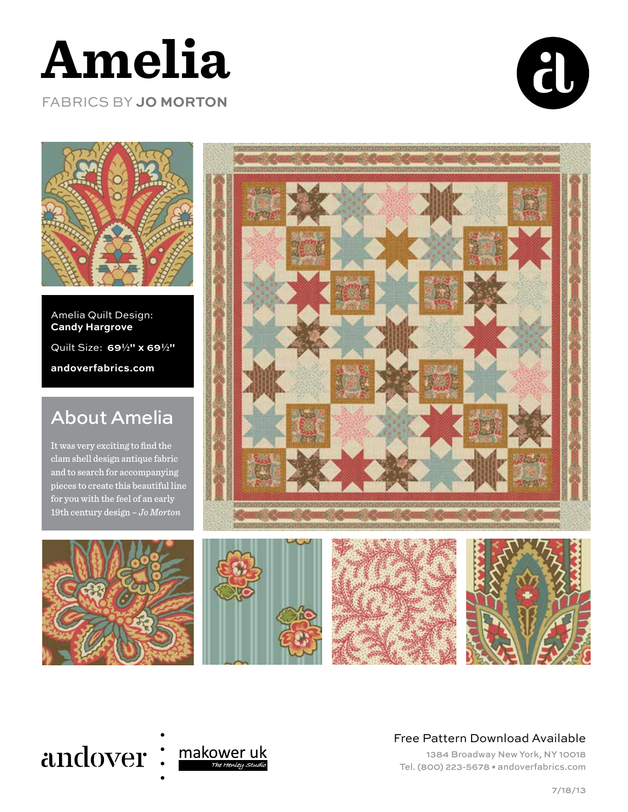

FABRICS BY **JO MORTON**





Amelia Quilt Design: **Candy Hargrove** Quilt Size: **692" x 692" andoverfabrics.com**

## About Amelia

It was very exciting to find the clam shell design antique fabric and to search for accompanying pieces to create this beautiful line for you with the feel of an early 19th century design – *Jo Morton*











#### Free Pattern Download Available

1384 Broadway New York, NY 10018 Tel. (800) 223-5678 • andoverfabrics.com

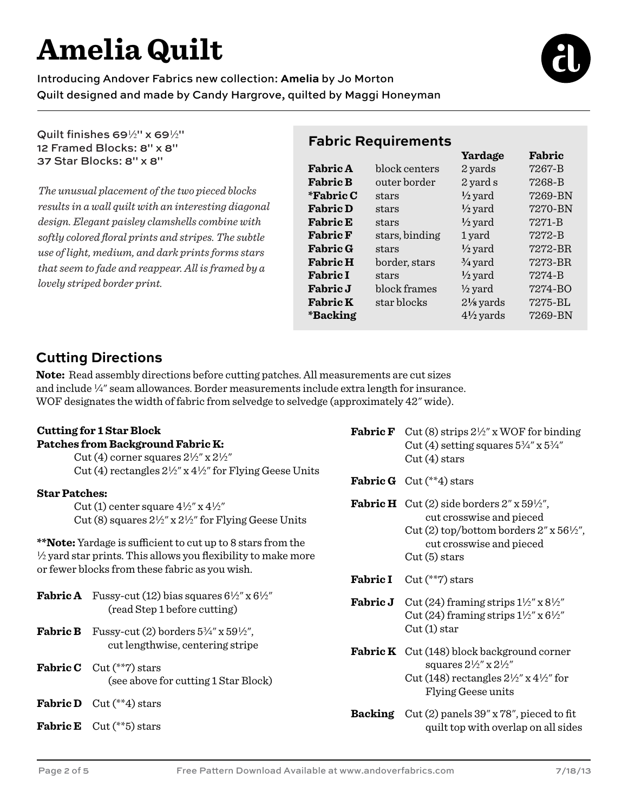# **Amelia Quilt**

Introducing Andover Fabrics new collection: **Amelia** by Jo Morton Quilt designed and made by Candy Hargrove, quilted by Maggi Honeyman

Quilt finishes  $69\frac{1}{2}$ " x  $69\frac{1}{2}$ " 12 Framed Blocks: 8" x 8" 37 Star Blocks: 8" x 8"

*The unusual placement of the two pieced blocks results in a wall quilt with an interesting diagonal design. Elegant paisley clamshells combine with softly colored floral prints and stripes. The subtle use of light, medium, and dark prints forms stars that seem to fade and reappear. All is framed by a lovely striped border print.*

## **Fabric Requirements**

|                   |                | Yardage              | Fabric  |
|-------------------|----------------|----------------------|---------|
| <b>Fabric A</b>   | block centers  | 2 yards              | 7267-B  |
| <b>Fabric B</b>   | outer border   | 2 yard s             | 7268-B  |
| <i>*</i> Fabric C | stars          | $\frac{1}{2}$ yard   | 7269-BN |
| <b>Fabric D</b>   | stars          | $\frac{1}{2}$ yard   | 7270-BN |
| <b>Fabric E</b>   | stars          | $\frac{1}{2}$ yard   | 7271-B  |
| <b>Fabric F</b>   | stars, binding | 1 yard               | 7272-B  |
| <b>Fabric G</b>   | stars          | $\frac{1}{2}$ yard   | 7272-BR |
| <b>Fabric H</b>   | border, stars  | $\frac{3}{4}$ yard   | 7273-BR |
| <b>Fabric I</b>   | stars          | $\frac{1}{2}$ yard   | 7274-B  |
| <b>Fabric J</b>   | block frames   | $\frac{1}{2}$ yard   | 7274-BO |
| <b>Fabric K</b>   | star blocks    | $2\frac{1}{8}$ yards | 7275-BL |
| *Backing          |                | $4\frac{1}{2}$ yards | 7269-BN |
|                   |                |                      |         |

## **Cutting Directions**

**Note:** Read assembly directions before cutting patches. All measurements are cut sizes and include  $\frac{1}{4}$ " seam allowances. Border measurements include extra length for insurance. WOF designates the width of fabric from selvedge to selvedge (approximately 42" wide).

#### **Cutting for 1 Star Block Patches from Background Fabric K:**

Cut (4) corner squares  $2\frac{1}{2}$ " x  $2\frac{1}{2}$ " Cut (4) rectangles  $2\frac{1}{2}$ " x  $4\frac{1}{2}$ " for Flying Geese Units

#### **Star Patches:**

Cut (1) center square  $4\frac{1}{2}$ " x  $4\frac{1}{2}$ " Cut (8) squares  $2\frac{1}{2}$ " x  $2\frac{1}{2}$ " for Flying Geese Units

\***\*Note:** Yardage is sufficient to cut up to 8 stars from the  $\frac{1}{2}$  yard star prints. This allows you flexibility to make more or fewer blocks from these fabric as you wish.

| <b>Fabric A</b> Fussy-cut (12) bias squares $6\frac{1}{2}$ " x $6\frac{1}{2}$ "<br>(read Step 1 before cutting) |
|-----------------------------------------------------------------------------------------------------------------|
| <b>Fabric B</b> Fussy-cut (2) borders $5\frac{3}{4}$ " x $59\frac{1}{2}$ ",<br>cut lengthwise, centering stripe |
| <b>Fabric C</b> $Cut$ <sup>(**</sup> 7) stars<br>(see above for cutting 1 Star Block)                           |

- **Fabric D** Cut (\*\*4) stars
- **Fabric E** Cut (\*\*5) stars
- **Fabric F** Cut (8) strips  $2\frac{1}{2}$ " x WOF for binding Cut (4) setting squares  $5\frac{3}{4}$ " x  $5\frac{3}{4}$ "  $Cut(4)$  stars
- **Fabric G** Cut (\*\*4) stars
- **Fabric H** Cut (2) side borders  $2''$  x  $59\frac{1}{2}$ ", cut crosswise and pieced Cut (2) top/bottom borders  $2''$  x  $56\frac{1}{2}$ ", cut crosswise and pieced Cut (5) stars
- **Fabric I** Cut (\*\*7) stars
- **Fabric J** Cut (24) framing strips  $1\frac{1}{2}$ " x  $8\frac{1}{2}$ " Cut (24) framing strips  $1\frac{1}{2}$ " x  $6\frac{1}{2}$ "  $Cut(1)$  star
- **Fabric K** Cut (148) block background corner squares  $2\frac{1}{2}$ " x  $2\frac{1}{2}$ "
	- Cut (148) rectangles  $2\frac{1}{2}$ " x 4 $\frac{1}{2}$ " for Flying Geese units
- **Backing** Cut (2) panels 39" x 78", pieced to fit quilt top with overlap on all sides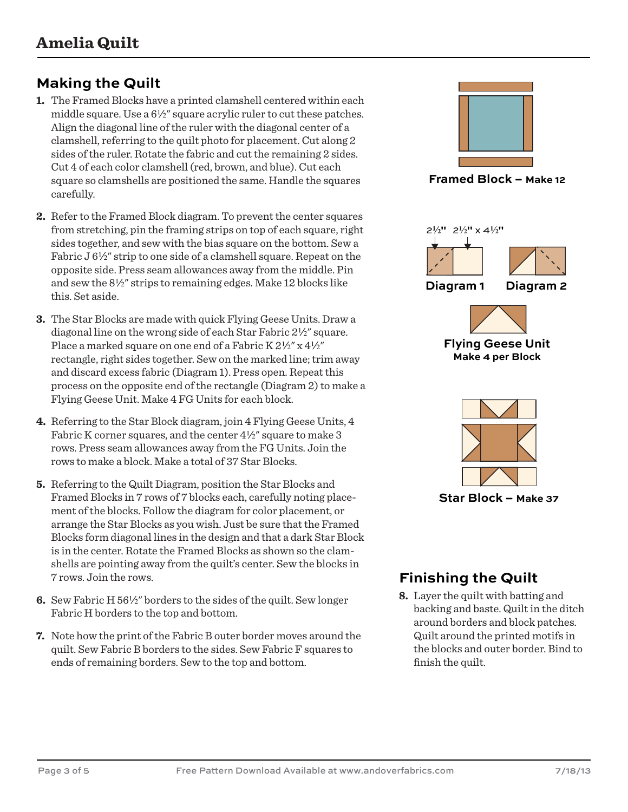## **Making the Quilt**

- **1.** The Framed Blocks have a printed clamshell centered within each middle square. Use a  $6\frac{1}{2}$  square acrylic ruler to cut these patches. Align the diagonal line of the ruler with the diagonal center of a clamshell, referring to the quilt photo for placement. Cut along 2 sides of the ruler. Rotate the fabric and cut the remaining 2 sides. Cut 4 of each color clamshell (red, brown, and blue). Cut each square so clamshells are positioned the same. Handle the squares carefully.
- **2.** Refer to the Framed Block diagram. To prevent the center squares from stretching, pin the framing strips on top of each square, right sides together, and sew with the bias square on the bottom. Sew a Fabric  $J_0^{1/2}$  strip to one side of a clamshell square. Repeat on the opposite side. Press seam allowances away from the middle. Pin and sew the  $8\frac{1}{2}$ " strips to remaining edges. Make 12 blocks like this. Set aside.
- **3.** The Star Blocks are made with quick Flying Geese Units. Draw a diagonal line on the wrong side of each Star Fabric  $2\frac{1}{2}$ " square. Place a marked square on one end of a Fabric K  $2\frac{1}{2}$ " x  $4\frac{1}{2}$ " rectangle, right sides together. Sew on the marked line; trim away and discard excess fabric (Diagram 1). Press open. Repeat this process on the opposite end of the rectangle (Diagram 2) to make a Flying Geese Unit. Make 4 FG Units for each block.
- **4.** Referring to the Star Block diagram, join 4 Flying Geese Units, 4 Fabric K corner squares, and the center  $4\frac{1}{2}$ " square to make 3 rows. Press seam allowances away from the FG Units. Join the rows to make a block. Make a total of 37 Star Blocks.
- **5.** Referring to the Quilt Diagram, position the Star Blocks and Framed Blocks in 7 rows of 7 blocks each, carefully noting placement of the blocks. Follow the diagram for color placement, or arrange the Star Blocks as you wish. Just be sure that the Framed Blocks form diagonal lines in the design and that a dark Star Block is in the center. Rotate the Framed Blocks as shown so the clamshells are pointing away from the quilt's center. Sew the blocks in 7 rows. Join the rows.
- **6.** Sew Fabric H 56½" borders to the sides of the quilt. Sew longer Fabric H borders to the top and bottom.
- **7.** Note how the print of the Fabric B outer border moves around the quilt. Sew Fabric B borders to the sides. Sew Fabric F squares to ends of remaining borders. Sew to the top and bottom.



**Framed Block – Make 12**



### **Finishing the Quilt**

**8.** Layer the quilt with batting and backing and baste. Quilt in the ditch around borders and block patches. Quilt around the printed motifs in the blocks and outer border. Bind to finish the quilt.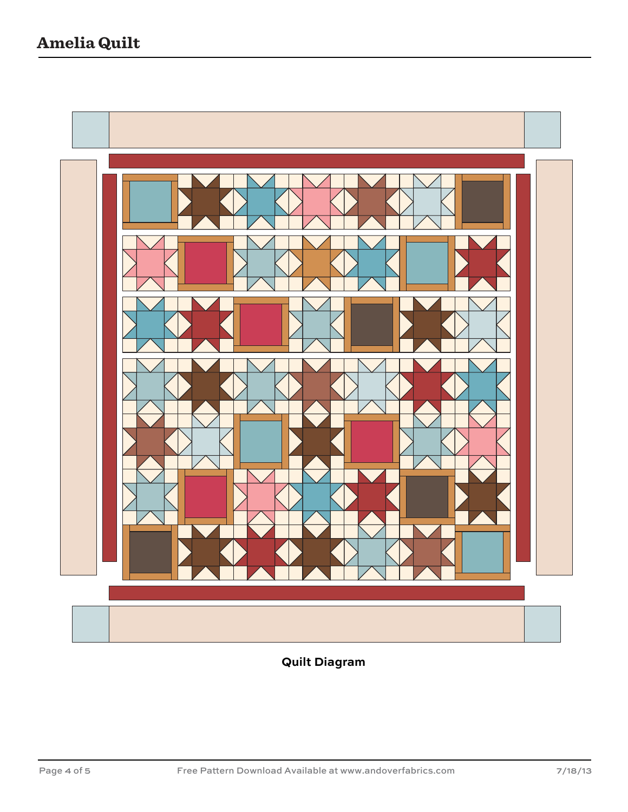

**Quilt Diagram**